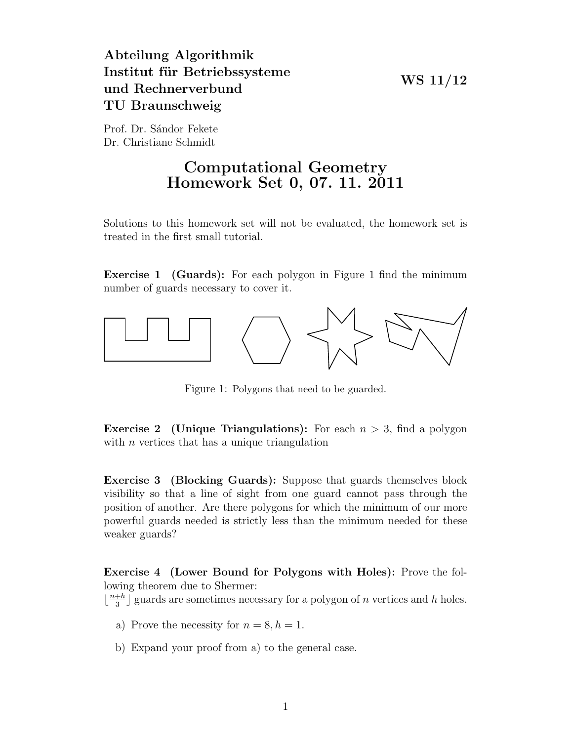## WS 11/12

## Abteilung Algorithmik Institut für Betriebssysteme und Rechnerverbund TU Braunschweig

Prof. Dr. Sándor Fekete Dr. Christiane Schmidt

## Computational Geometry Homework Set 0, 07. 11. 2011

Solutions to this homework set will not be evaluated, the homework set is treated in the first small tutorial.

Exercise 1 (Guards): For each polygon in Figure 1 find the minimum number of guards necessary to cover it.



Figure 1: Polygons that need to be guarded.

**Exercise 2** (Unique Triangulations): For each  $n > 3$ , find a polygon with  $n$  vertices that has a unique triangulation

Exercise 3 (Blocking Guards): Suppose that guards themselves block visibility so that a line of sight from one guard cannot pass through the position of another. Are there polygons for which the minimum of our more powerful guards needed is strictly less than the minimum needed for these weaker guards?

Exercise 4 (Lower Bound for Polygons with Holes): Prove the following theorem due to Shermer:

 $\frac{n+h}{3}$  $\frac{+h}{3}$  guards are sometimes necessary for a polygon of *n* vertices and *h* holes.

- a) Prove the necessity for  $n = 8, h = 1$ .
- b) Expand your proof from a) to the general case.